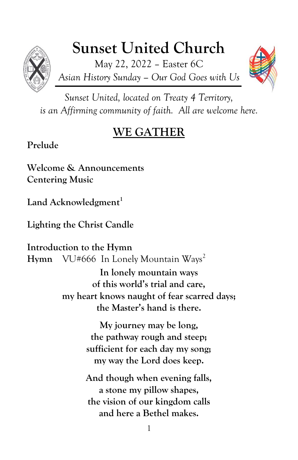# **Sunset United Church**

May 22, 2022 – Easter 6C *Asian History Sunday – Our God Goes with Us*



*Sunset United, located on Treaty 4 Territory, is an Affirming community of faith. All are welcome here.*

## **WE GATHER**

**Prelude**

**Welcome & Announcements Centering Music**

**Land Acknowledgment<sup>1</sup>**

**Lighting the Christ Candle**

**Introduction to the Hymn Hymn** VU#666 In Lonely Mountain Ways<sup>2</sup>

> **In lonely mountain ways of this world's trial and care, my heart knows naught of fear scarred days; the Master's hand is there.**

> > **My journey may be long, the pathway rough and steep; sufficient for each day my song; my way the Lord does keep.**

> > **And though when evening falls, a stone my pillow shapes, the vision of our kingdom calls and here a Bethel makes.**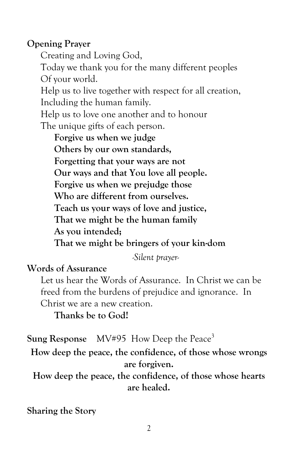#### **Opening Prayer**

Creating and Loving God, Today we thank you for the many different peoples Of your world. Help us to live together with respect for all creation, Including the human family. Help us to love one another and to honour The unique gifts of each person.

**Forgive us when we judge Others by our own standards, Forgetting that your ways are not Our ways and that You love all people. Forgive us when we prejudge those Who are different from ourselves. Teach us your ways of love and justice, That we might be the human family As you intended;**

**That we might be bringers of your kin-dom**

*-Silent prayer-*

#### **Words of Assurance**

Let us hear the Words of Assurance. In Christ we can be freed from the burdens of prejudice and ignorance. In Christ we are a new creation.

**Thanks be to God!**

**Sung Response** MV#95 How Deep the Peace<sup>3</sup>

**How deep the peace, the confidence, of those whose wrongs are forgiven.**

**How deep the peace, the confidence, of those whose hearts are healed.**

**Sharing the Story**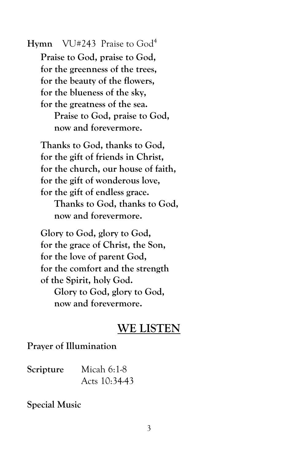**Hymn** VU#243 Praise to God<sup>4</sup> **Praise to God, praise to God, for the greenness of the trees, for the beauty of the flowers, for the blueness of the sky, for the greatness of the sea. Praise to God, praise to God, now and forevermore.**

**Thanks to God, thanks to God, for the gift of friends in Christ, for the church, our house of faith, for the gift of wonderous love, for the gift of endless grace.**

**Thanks to God, thanks to God, now and forevermore.**

**Glory to God, glory to God, for the grace of Christ, the Son, for the love of parent God, for the comfort and the strength of the Spirit, holy God. Glory to God, glory to God, now and forevermore.**

#### **WE LISTEN**

#### **Prayer of Illumination**

| Scripture | Micah $6:1-8$ |
|-----------|---------------|
|           | Acts 10:34-43 |

#### **Special Music**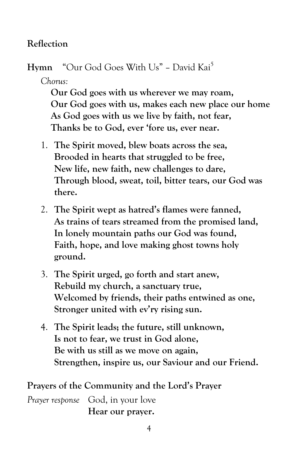#### **Reflection**

Hymn "Our God Goes With Us" - David Kai<sup>5</sup>

*Chorus:*

**Our God goes with us wherever we may roam, Our God goes with us, makes each new place our home As God goes with us we live by faith, not fear, Thanks be to God, ever 'fore us, ever near.**

- 1. **The Spirit moved, blew boats across the sea, Brooded in hearts that struggled to be free, New life, new faith, new challenges to dare, Through blood, sweat, toil, bitter tears, our God was there.**
- 2. **The Spirit wept as hatred's flames were fanned, As trains of tears streamed from the promised land, In lonely mountain paths our God was found, Faith, hope, and love making ghost towns holy ground.**
- 3. **The Spirit urged, go forth and start anew, Rebuild my church, a sanctuary true, Welcomed by friends, their paths entwined as one, Stronger united with ev'ry rising sun.**
- 4. **The Spirit leads; the future, still unknown, Is not to fear, we trust in God alone, Be with us still as we move on again, Strengthen, inspire us, our Saviour and our Friend.**

**Prayers of the Community and the Lord's Prayer**

*Prayer response* God, in your love **Hear our prayer.**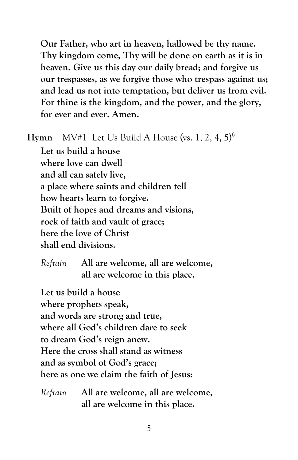**Our Father, who art in heaven, hallowed be thy name. Thy kingdom come, Thy will be done on earth as it is in heaven. Give us this day our daily bread; and forgive us our trespasses, as we forgive those who trespass against us; and lead us not into temptation, but deliver us from evil. For thine is the kingdom, and the power, and the glory, for ever and ever. Amen.**

**Hymn** MV#1 Let Us Build A House (vs. 1, 2, 4, 5)<sup>6</sup>

**Let us build a house where love can dwell and all can safely live, a place where saints and children tell how hearts learn to forgive. Built of hopes and dreams and visions, rock of faith and vault of grace; here the love of Christ shall end divisions.**

### *Refrain* **All are welcome, all are welcome, all are welcome in this place.**

**Let us build a house where prophets speak, and words are strong and true, where all God's children dare to seek to dream God's reign anew. Here the cross shall stand as witness and as symbol of God's grace; here as one we claim the faith of Jesus:**

*Refrain* **All are welcome, all are welcome, all are welcome in this place.**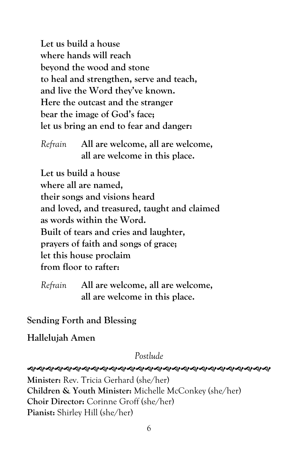**Let us build a house where hands will reach beyond the wood and stone to heal and strengthen, serve and teach, and live the Word they've known. Here the outcast and the stranger bear the image of God's face; let us bring an end to fear and danger:**

*Refrain* **All are welcome, all are welcome, all are welcome in this place.**

**Let us build a house where all are named, their songs and visions heard and loved, and treasured, taught and claimed as words within the Word. Built of tears and cries and laughter, prayers of faith and songs of grace; let this house proclaim from floor to rafter:**

**Sending Forth and Blessing**

**Hallelujah Amen**

*Postlude*

**ର୍ଶ୍ୟକ୍ଷିମ୍ୟର୍କ୍ୟିମ୍ୟର୍କ୍ୟିମ୍ୟା ସ୍ୟାସ୍ୟା ସ୍ୟାସ୍ୟା ସ୍ୟାସ୍ୟା ସ୍ୟାସ୍ୟା ସ୍ୟାସ୍ୟା ସ୍ୟାପ୍ୟା ସ୍ୟାପ୍ୟା ସ୍ୟା Minister:** Rev. Tricia Gerhard (she/her)

**Children & Youth Minister:** Michelle McConkey (she/her)

**Choir Director:** Corinne Groff (she/her)

**Pianist:** Shirley Hill (she/her)

*Refrain* **All are welcome, all are welcome, all are welcome in this place.**